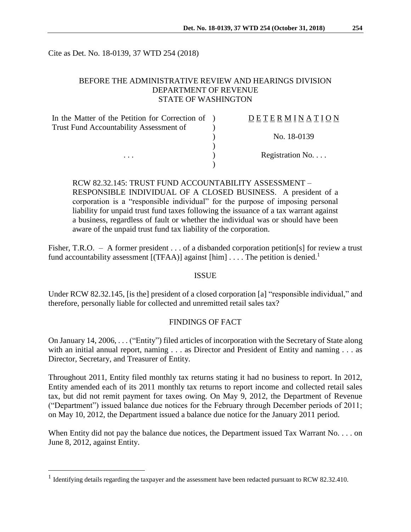Cite as Det. No. 18-0139, 37 WTD 254 (2018)

## BEFORE THE ADMINISTRATIVE REVIEW AND HEARINGS DIVISION DEPARTMENT OF REVENUE STATE OF WASHINGTON

| In the Matter of the Petition for Correction of ) | DETERMINATION   |
|---------------------------------------------------|-----------------|
| Trust Fund Accountability Assessment of           |                 |
|                                                   | No. 18-0139     |
|                                                   |                 |
| $\cdots$                                          | Registration No |
|                                                   |                 |

# RCW 82.32.145: TRUST FUND ACCOUNTABILITY ASSESSMENT – RESPONSIBLE INDIVIDUAL OF A CLOSED BUSINESS. A president of a corporation is a "responsible individual" for the purpose of imposing personal liability for unpaid trust fund taxes following the issuance of a tax warrant against a business, regardless of fault or whether the individual was or should have been aware of the unpaid trust fund tax liability of the corporation.

Fisher, T.R.O. – A former president . . . of a disbanded corporation petition [s] for review a trust fund accountability assessment  $[(TFAA)]$  against  $[\text{him}]$ ... The petition is denied.<sup>1</sup>

### ISSUE

Under RCW 82.32.145, [is the] president of a closed corporation [a] "responsible individual," and therefore, personally liable for collected and unremitted retail sales tax?

### FINDINGS OF FACT

On January 14, 2006, . . . ("Entity") filed articles of incorporation with the Secretary of State along with an initial annual report, naming . . . as Director and President of Entity and naming . . . as Director, Secretary, and Treasurer of Entity.

Throughout 2011, Entity filed monthly tax returns stating it had no business to report. In 2012, Entity amended each of its 2011 monthly tax returns to report income and collected retail sales tax, but did not remit payment for taxes owing. On May 9, 2012, the Department of Revenue ("Department") issued balance due notices for the February through December periods of 2011; on May 10, 2012, the Department issued a balance due notice for the January 2011 period.

When Entity did not pay the balance due notices, the Department issued Tax Warrant No. . . . on June 8, 2012, against Entity.

 $\overline{a}$ 

<sup>&</sup>lt;sup>1</sup> Identifying details regarding the taxpayer and the assessment have been redacted pursuant to RCW 82.32.410.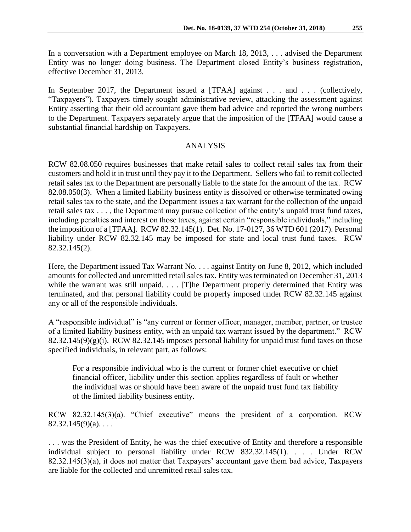In a conversation with a Department employee on March 18, 2013, . . . advised the Department Entity was no longer doing business. The Department closed Entity's business registration, effective December 31, 2013.

In September 2017, the Department issued a [TFAA] against . . . and . . . (collectively, "Taxpayers"). Taxpayers timely sought administrative review, attacking the assessment against Entity asserting that their old accountant gave them bad advice and reported the wrong numbers to the Department. Taxpayers separately argue that the imposition of the [TFAA] would cause a substantial financial hardship on Taxpayers.

#### ANALYSIS

RCW 82.08.050 requires businesses that make retail sales to collect retail sales tax from their customers and hold it in trust until they pay it to the Department. Sellers who fail to remit collected retail sales tax to the Department are personally liable to the state for the amount of the tax. RCW 82.08.050(3). When a limited liability business entity is dissolved or otherwise terminated owing retail sales tax to the state, and the Department issues a tax warrant for the collection of the unpaid retail sales tax . . . , the Department may pursue collection of the entity's unpaid trust fund taxes, including penalties and interest on those taxes, against certain "responsible individuals," including the imposition of a [TFAA]. RCW 82.32.145(1). Det. No. 17-0127, 36 WTD 601 (2017). Personal liability under RCW 82.32.145 may be imposed for state and local trust fund taxes. RCW 82.32.145(2).

Here, the Department issued Tax Warrant No. . . . against Entity on June 8, 2012, which included amounts for collected and unremitted retail sales tax. Entity was terminated on December 31, 2013 while the warrant was still unpaid. . . . [T]he Department properly determined that Entity was terminated, and that personal liability could be properly imposed under RCW 82.32.145 against any or all of the responsible individuals.

A "responsible individual" is "any current or former officer, manager, member, partner, or trustee of a limited liability business entity, with an unpaid tax warrant issued by the department." RCW  $82.32.145(9)(g)(i)$ . RCW  $82.32.145$  imposes personal liability for unpaid trust fund taxes on those specified individuals, in relevant part, as follows:

For a responsible individual who is the current or former chief executive or chief financial officer, liability under this section applies regardless of fault or whether the individual was or should have been aware of the unpaid trust fund tax liability of the limited liability business entity.

RCW 82.32.145(3)(a). "Chief executive" means the president of a corporation. RCW  $82.32.145(9)(a)$ ...

. . . was the President of Entity, he was the chief executive of Entity and therefore a responsible individual subject to personal liability under RCW 832.32.145(1). . . . Under RCW 82.32.145(3)(a), it does not matter that Taxpayers' accountant gave them bad advice, Taxpayers are liable for the collected and unremitted retail sales tax.